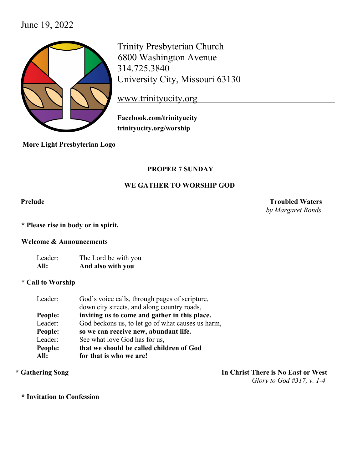# June 19, 2022



Trinity Presbyterian Church 6800 Washington Avenue 314.725.3840 University City, Missouri 63130

www.trinityucity.org

**Facebook.com/trinityucity trinityucity.org/worship**

 **More Light Presbyterian Logo**

## **PROPER 7 SUNDAY**

## **WE GATHER TO WORSHIP GOD**

**Prelude Troubled Waters**  *by Margaret Bonds*

**\* Please rise in body or in spirit.**

**Welcome & Announcements**

Leader: The Lord be with you **All: And also with you**

## **\* Call to Worship**

| Leader: | God's voice calls, through pages of scripture,    |
|---------|---------------------------------------------------|
|         | down city streets, and along country roads,       |
| People: | inviting us to come and gather in this place.     |
| Leader: | God beckons us, to let go of what causes us harm, |
| People: | so we can receive new, abundant life.             |
| Leader: | See what love God has for us,                     |
| People: | that we should be called children of God          |
| All:    | for that is who we are!                           |

**\* Gathering Song In Christ There is No East or West**  *Glory to God #317, v. 1-4*

**\* Invitation to Confession**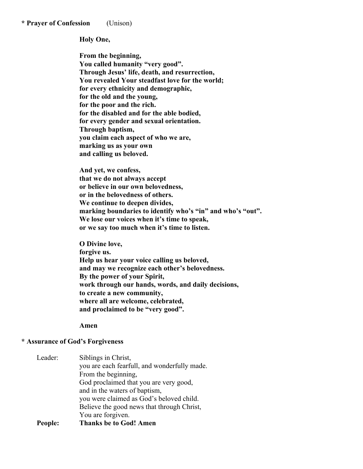**\* Prayer of Confession** (Unison)

### **Holy One,**

**From the beginning, You called humanity "very good". Through Jesus' life, death, and resurrection, You revealed Your steadfast love for the world; for every ethnicity and demographic, for the old and the young, for the poor and the rich. for the disabled and for the able bodied, for every gender and sexual orientation. Through baptism, you claim each aspect of who we are, marking us as your own and calling us beloved.** 

**And yet, we confess, that we do not always accept or believe in our own belovedness, or in the belovedness of others. We continue to deepen divides, marking boundaries to identify who's "in" and who's "out". We lose our voices when it's time to speak, or we say too much when it's time to listen.** 

**O Divine love, forgive us. Help us hear your voice calling us beloved, and may we recognize each other's belovedness. By the power of your Spirit, work through our hands, words, and daily decisions, to create a new community, where all are welcome, celebrated, and proclaimed to be "very good".** 

### **Amen**

## **\* Assurance of God's Forgiveness**

| Leader: | Siblings in Christ,                          |
|---------|----------------------------------------------|
|         | you are each fearfull, and wonderfully made. |
|         | From the beginning,                          |
|         | God proclaimed that you are very good,       |
|         | and in the waters of baptism,                |
|         | you were claimed as God's beloved child.     |
|         | Believe the good news that through Christ,   |
|         | You are forgiven.                            |
| People: | <b>Thanks be to God! Amen</b>                |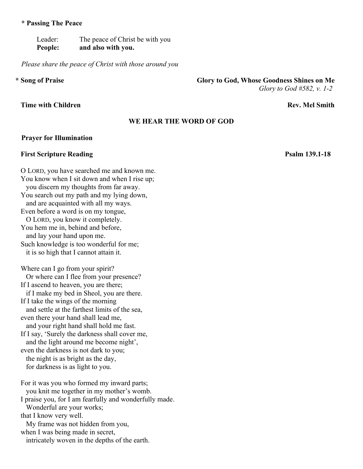### **\* Passing The Peace**

Leader: The peace of Christ be with you **People: and also with you.** 

*Please share the peace of Christ with those around you*

O LORD, you have searched me and known me. You know when I sit down and when I rise up;

## **Time with Children Rev. Mel Smith**

# **\* Song of Praise Glory to God, Whose Goodness Shines on Me**

*Glory to God #582, v. 1-2*

## **WE HEAR THE WORD OF GOD**

### **Prayer for Illumination**

## **First Scripture Reading Psalm 139.1-18**

 you discern my thoughts from far away. You search out my path and my lying down, and are acquainted with all my ways. Even before a word is on my tongue, O LORD, you know it completely. You hem me in, behind and before, and lay your hand upon me. Such knowledge is too wonderful for me; it is so high that I cannot attain it. Where can I go from your spirit? Or where can I flee from your presence? If I ascend to heaven, you are there; if I make my bed in Sheol, you are there. If I take the wings of the morning and settle at the farthest limits of the sea, even there your hand shall lead me, and your right hand shall hold me fast. If I say, 'Surely the darkness shall cover me, and the light around me become night', even the darkness is not dark to you; the night is as bright as the day, for darkness is as light to you. For it was you who formed my inward parts; you knit me together in my mother's womb. I praise you, for I am fearfully and wonderfully made. Wonderful are your works; that I know very well. My frame was not hidden from you, when I was being made in secret, intricately woven in the depths of the earth.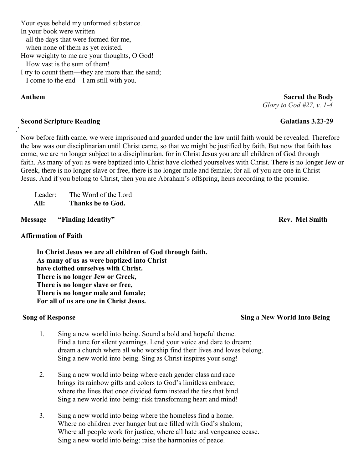**Anthem Sacred the Body** *Glory to God #27, v. 1-4*

Now before faith came, we were imprisoned and guarded under the law until faith would be revealed. Therefore the law was our disciplinarian until Christ came, so that we might be justified by faith. But now that faith has come, we are no longer subject to a disciplinarian, for in Christ Jesus you are all children of God through faith. As many of you as were baptized into Christ have clothed yourselves with Christ. There is no longer Jew or Greek, there is no longer slave or free, there is no longer male and female; for all of you are one in Christ Jesus. And if you belong to Christ, then you are Abraham's offspring, heirs according to the promise.

Leader: The Word of the Lord **All: Thanks be to God.**

 **Message "Finding Identity" Rev.** Mel Smith

## **Affirmation of Faith**

.'

**In Christ Jesus we are all children of God through faith. As many of us as were baptized into Christ have clothed ourselves with Christ. There is no longer Jew or Greek, There is no longer slave or free, There is no longer male and female; For all of us are one in Christ Jesus.** 

- 1. Sing a new world into being. Sound a bold and hopeful theme. Find a tune for silent yearnings. Lend your voice and dare to dream: dream a church where all who worship find their lives and loves belong. Sing a new world into being. Sing as Christ inspires your song!
- 2. Sing a new world into being where each gender class and race brings its rainbow gifts and colors to God's limitless embrace; where the lines that once divided form instead the ties that bind. Sing a new world into being: risk transforming heart and mind!
- 3. Sing a new world into being where the homeless find a home. Where no children ever hunger but are filled with God's shalom; Where all people work for justice, where all hate and vengeance cease. Sing a new world into being: raise the harmonies of peace.

# **Song of Response** Sing a New World Into Being

# **Second Scripture Reading Galatians 3.23-29**

Your eyes beheld my unformed substance.

In your book were written

all the days that were formed for me,

when none of them as yet existed.

How weighty to me are your thoughts, O God!

How vast is the sum of them!

I try to count them—they are more than the sand; I come to the end—I am still with you.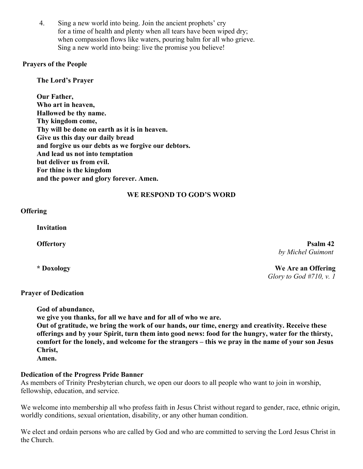4. Sing a new world into being. Join the ancient prophets' cry for a time of health and plenty when all tears have been wiped dry; when compassion flows like waters, pouring balm for all who grieve. Sing a new world into being: live the promise you believe!

## **Prayers of the People**

**The Lord's Prayer** 

**Our Father, Who art in heaven, Hallowed be thy name. Thy kingdom come, Thy will be done on earth as it is in heaven. Give us this day our daily bread and forgive us our debts as we forgive our debtors. And lead us not into temptation but deliver us from evil. For thine is the kingdom and the power and glory forever. Amen.** 

## **WE RESPOND TO GOD'S WORD**

**Offering** 

**Invitation**

 **Offertory** Psalm 42  *by Michel Guimont*

**\* Doxology We Are an Offering**  *Glory to God #710, v. 1*

## **Prayer of Dedication**

**God of abundance,** 

**we give you thanks, for all we have and for all of who we are.** 

**Out of gratitude, we bring the work of our hands, our time, energy and creativity. Receive these offerings and by your Spirit, turn them into good news: food for the hungry, water for the thirsty, comfort for the lonely, and welcome for the strangers – this we pray in the name of your son Jesus Christ,** 

**Amen.** 

## **Dedication of the Progress Pride Banner**

As members of Trinity Presbyterian church, we open our doors to all people who want to join in worship, fellowship, education, and service.

We welcome into membership all who profess faith in Jesus Christ without regard to gender, race, ethnic origin, worldly conditions, sexual orientation, disability, or any other human condition.

We elect and ordain persons who are called by God and who are committed to serving the Lord Jesus Christ in the Church.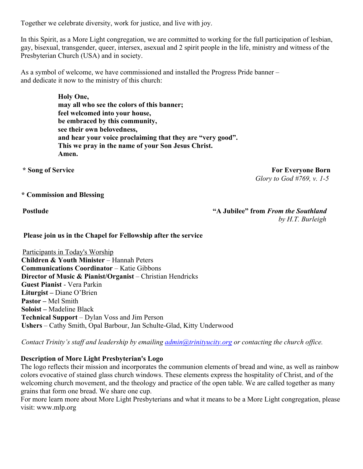Together we celebrate diversity, work for justice, and live with joy.

In this Spirit, as a More Light congregation, we are committed to working for the full participation of lesbian, gay, bisexual, transgender, queer, intersex, asexual and 2 spirit people in the life, ministry and witness of the Presbyterian Church (USA) and in society.

As a symbol of welcome, we have commissioned and installed the Progress Pride banner – and dedicate it now to the ministry of this church:

> **Holy One, may all who see the colors of this banner; feel welcomed into your house, be embraced by this community, see their own belovedness, and hear your voice proclaiming that they are "very good". This we pray in the name of your Son Jesus Christ. Amen.**

 **\* Song of Service For Everyone Born**  *Glory to God #769, v. 1-5*

## **\* Commission and Blessing**

**Postlude The Postlude 19th Contract A Contract A Southland Postlude 19th Contract A Jubilee**" from *From the Southland by H.T. Burleigh*

**Please join us in the Chapel for Fellowship after the service**

 Participants in Today's Worship **Children & Youth Minister – Hannah Peters Communications Coordinator – Katie Gibbons Director of Music & Pianist/Organist** – Christian Hendricks **Guest Pianist** - Vera Parkin **Liturgist –** Diane O'Brien **Pastor –** Mel Smith **Soloist –** Madeline Black **Technical Support** – Dylan Voss and Jim Person **Ushers** – Cathy Smith, Opal Barbour, Jan Schulte-Glad, Kitty Underwood

*Contact Trinity's staff and leadership by emailing admin@trinityucity.org or contacting the church office.*

## **Description of More Light Presbyterian's Logo**

The logo reflects their mission and incorporates the communion elements of bread and wine, as well as rainbow colors evocative of stained glass church windows. These elements express the hospitality of Christ, and of the welcoming church movement, and the theology and practice of the open table. We are called together as many grains that form one bread. We share one cup.

For more learn more about More Light Presbyterians and what it means to be a More Light congregation, please visit: www.mlp.org